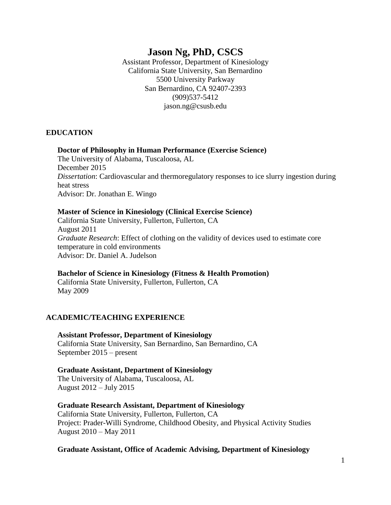# **Jason Ng, PhD, CSCS**

Assistant Professor, Department of Kinesiology California State University, San Bernardino 5500 University Parkway San Bernardino, CA 92407-2393 (909)537-5412 jason.ng@csusb.edu

#### **EDUCATION**

#### **Doctor of Philosophy in Human Performance (Exercise Science)**

The University of Alabama, Tuscaloosa, AL December 2015 *Dissertation*: Cardiovascular and thermoregulatory responses to ice slurry ingestion during heat stress Advisor: Dr. Jonathan E. Wingo

#### **Master of Science in Kinesiology (Clinical Exercise Science)**

California State University, Fullerton, Fullerton, CA August 2011 *Graduate Research*: Effect of clothing on the validity of devices used to estimate core temperature in cold environments Advisor: Dr. Daniel A. Judelson

**Bachelor of Science in Kinesiology (Fitness & Health Promotion)** California State University, Fullerton, Fullerton, CA May 2009

### **ACADEMIC/TEACHING EXPERIENCE**

**Assistant Professor, Department of Kinesiology** California State University, San Bernardino, San Bernardino, CA September 2015 – present

**Graduate Assistant, Department of Kinesiology** The University of Alabama, Tuscaloosa, AL August 2012 – July 2015

#### **Graduate Research Assistant, Department of Kinesiology**

California State University, Fullerton, Fullerton, CA Project: Prader-Willi Syndrome, Childhood Obesity, and Physical Activity Studies August 2010 – May 2011

#### **Graduate Assistant, Office of Academic Advising, Department of Kinesiology**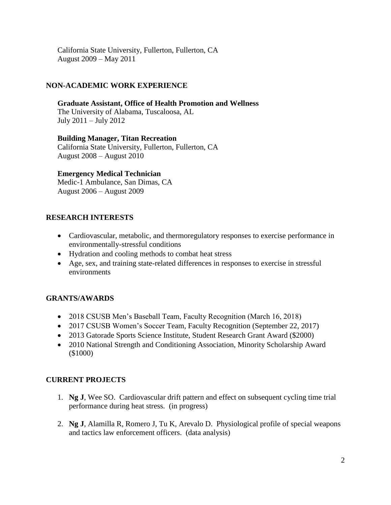California State University, Fullerton, Fullerton, CA August 2009 – May 2011

### **NON-ACADEMIC WORK EXPERIENCE**

**Graduate Assistant, Office of Health Promotion and Wellness** The University of Alabama, Tuscaloosa, AL July 2011 – July 2012

**Building Manager, Titan Recreation** California State University, Fullerton, Fullerton, CA August 2008 – August 2010

#### **Emergency Medical Technician**

Medic-1 Ambulance, San Dimas, CA August 2006 – August 2009

### **RESEARCH INTERESTS**

- Cardiovascular, metabolic, and thermoregulatory responses to exercise performance in environmentally-stressful conditions
- Hydration and cooling methods to combat heat stress
- Age, sex, and training state-related differences in responses to exercise in stressful environments

### **GRANTS/AWARDS**

- 2018 CSUSB Men's Baseball Team, Faculty Recognition (March 16, 2018)
- 2017 CSUSB Women's Soccer Team, Faculty Recognition (September 22, 2017)
- 2013 Gatorade Sports Science Institute, Student Research Grant Award (\$2000)
- 2010 National Strength and Conditioning Association, Minority Scholarship Award (\$1000)

### **CURRENT PROJECTS**

- 1. **Ng J**, Wee SO. Cardiovascular drift pattern and effect on subsequent cycling time trial performance during heat stress. (in progress)
- 2. **Ng J**, Alamilla R, Romero J, Tu K, Arevalo D. Physiological profile of special weapons and tactics law enforcement officers. (data analysis)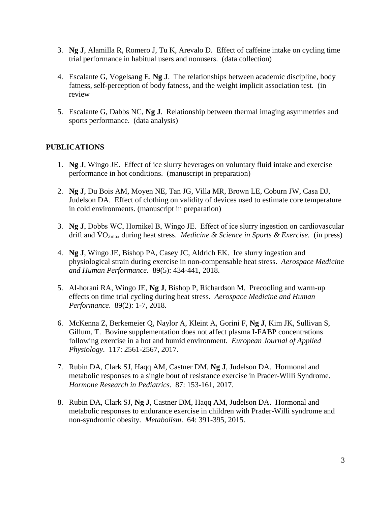- 3. **Ng J**, Alamilla R, Romero J, Tu K, Arevalo D. Effect of caffeine intake on cycling time trial performance in habitual users and nonusers. (data collection)
- 4. Escalante G, Vogelsang E, **Ng J**. The relationships between academic discipline, body fatness, self-perception of body fatness, and the weight implicit association test. (in review
- 5. Escalante G, Dabbs NC, **Ng J**. Relationship between thermal imaging asymmetries and sports performance. (data analysis)

# **PUBLICATIONS**

- 1. **Ng J**, Wingo JE. Effect of ice slurry beverages on voluntary fluid intake and exercise performance in hot conditions. (manuscript in preparation)
- 2. **Ng J**, Du Bois AM, Moyen NE, Tan JG, Villa MR, Brown LE, Coburn JW, Casa DJ, Judelson DA. Effect of clothing on validity of devices used to estimate core temperature in cold environments. (manuscript in preparation)
- 3. **Ng J**, Dobbs WC, Hornikel B, Wingo JE. Effect of ice slurry ingestion on cardiovascular drift and  $\rm \dot{V}O_{2max}$  during heat stress. *Medicine & Science in Sports & Exercise*. (in press)
- 4. **Ng J**, Wingo JE, Bishop PA, Casey JC, Aldrich EK. Ice slurry ingestion and physiological strain during exercise in non-compensable heat stress. *Aerospace Medicine and Human Performance.* 89(5): 434-441, 2018.
- 5. Al-horani RA, Wingo JE, **Ng J**, Bishop P, Richardson M. Precooling and warm-up effects on time trial cycling during heat stress. *Aerospace Medicine and Human Performance*. 89(2): 1-7, 2018.
- 6. McKenna Z, Berkemeier Q, Naylor A, Kleint A, Gorini F, **Ng J**, Kim JK, Sullivan S, Gillum, T. Bovine supplementation does not affect plasma I-FABP concentrations following exercise in a hot and humid environment. *European Journal of Applied Physiology*. 117: 2561-2567, 2017.
- 7. Rubin DA, Clark SJ, Haqq AM, Castner DM, **Ng J**, Judelson DA. Hormonal and metabolic responses to a single bout of resistance exercise in Prader-Willi Syndrome. *Hormone Research in Pediatrics*. 87: 153-161, 2017.
- 8. Rubin DA, Clark SJ, **Ng J**, Castner DM, Haqq AM, Judelson DA. Hormonal and metabolic responses to endurance exercise in children with Prader-Willi syndrome and non-syndromic obesity. *Metabolism*. 64: 391-395, 2015.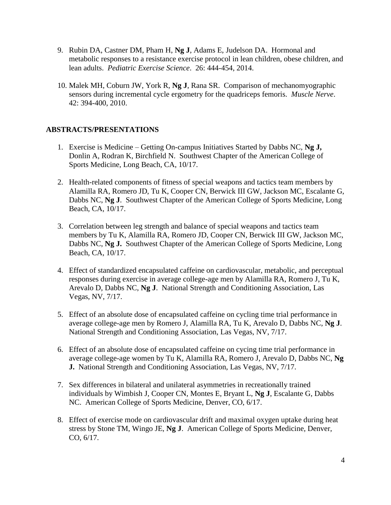- 9. Rubin DA, Castner DM, Pham H, **Ng J**, Adams E, Judelson DA. Hormonal and metabolic responses to a resistance exercise protocol in lean children, obese children, and lean adults. *Pediatric Exercise Science*. 26: 444-454, 2014.
- 10. Malek MH, Coburn JW, York R, **Ng J**, Rana SR. Comparison of mechanomyographic sensors during incremental cycle ergometry for the quadriceps femoris. *Muscle Nerve*. 42: 394-400, 2010.

### **ABSTRACTS/PRESENTATIONS**

- 1. Exercise is Medicine Getting On-campus Initiatives Started by Dabbs NC, **Ng J,**  Donlin A, Rodran K, Birchfield N. Southwest Chapter of the American College of Sports Medicine, Long Beach, CA, 10/17.
- 2. Health-related components of fitness of special weapons and tactics team members by Alamilla RA, Romero JD, Tu K, Cooper CN, Berwick III GW, Jackson MC, Escalante G, Dabbs NC, **Ng J**. Southwest Chapter of the American College of Sports Medicine, Long Beach, CA, 10/17.
- 3. Correlation between leg strength and balance of special weapons and tactics team members by Tu K, Alamilla RA, Romero JD, Cooper CN, Berwick III GW, Jackson MC, Dabbs NC, **Ng J.** Southwest Chapter of the American College of Sports Medicine, Long Beach, CA, 10/17.
- 4. Effect of standardized encapsulated caffeine on cardiovascular, metabolic, and perceptual responses during exercise in average college-age men by Alamilla RA, Romero J, Tu K, Arevalo D, Dabbs NC, **Ng J**. National Strength and Conditioning Association, Las Vegas, NV, 7/17.
- 5. Effect of an absolute dose of encapsulated caffeine on cycling time trial performance in average college-age men by Romero J, Alamilla RA, Tu K, Arevalo D, Dabbs NC, **Ng J**. National Strength and Conditioning Association, Las Vegas, NV, 7/17.
- 6. Effect of an absolute dose of encapsulated caffeine on cycing time trial performance in average college-age women by Tu K, Alamilla RA, Romero J, Arevalo D, Dabbs NC, **Ng J.** National Strength and Conditioning Association, Las Vegas, NV, 7/17.
- 7. Sex differences in bilateral and unilateral asymmetries in recreationally trained individuals by Wimbish J, Cooper CN, Montes E, Bryant L, **Ng J**, Escalante G, Dabbs NC. American College of Sports Medicine, Denver, CO, 6/17.
- 8. Effect of exercise mode on cardiovascular drift and maximal oxygen uptake during heat stress by Stone TM, Wingo JE, **Ng J**. American College of Sports Medicine, Denver, CO, 6/17.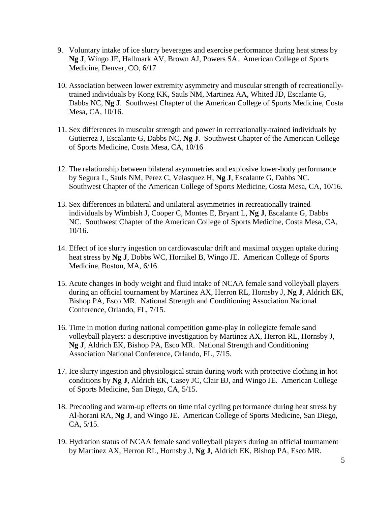- 9. Voluntary intake of ice slurry beverages and exercise performance during heat stress by **Ng J**, Wingo JE, Hallmark AV, Brown AJ, Powers SA. American College of Sports Medicine, Denver, CO, 6/17
- 10. Association between lower extremity asymmetry and muscular strength of recreationallytrained individuals by Kong KK, Sauls NM, Martinez AA, Whited JD, Escalante G, Dabbs NC, **Ng J**. Southwest Chapter of the American College of Sports Medicine, Costa Mesa, CA, 10/16.
- 11. Sex differences in muscular strength and power in recreationally-trained individuals by Gutierrez J, Escalante G, Dabbs NC, **Ng J**. Southwest Chapter of the American College of Sports Medicine, Costa Mesa, CA, 10/16
- 12. The relationship between bilateral asymmetries and explosive lower-body performance by Segura L, Sauls NM, Perez C, Velasquez H, **Ng J**, Escalante G, Dabbs NC. Southwest Chapter of the American College of Sports Medicine, Costa Mesa, CA, 10/16.
- 13. Sex differences in bilateral and unilateral asymmetries in recreationally trained individuals by Wimbish J, Cooper C, Montes E, Bryant L, **Ng J**, Escalante G, Dabbs NC. Southwest Chapter of the American College of Sports Medicine, Costa Mesa, CA, 10/16.
- 14. Effect of ice slurry ingestion on cardiovascular drift and maximal oxygen uptake during heat stress by **Ng J**, Dobbs WC, Hornikel B, Wingo JE. American College of Sports Medicine, Boston, MA, 6/16.
- 15. Acute changes in body weight and fluid intake of NCAA female sand volleyball players during an official tournament by Martinez AX, Herron RL, Hornsby J, **Ng J**, Aldrich EK, Bishop PA, Esco MR. National Strength and Conditioning Association National Conference, Orlando, FL, 7/15.
- 16. Time in motion during national competition game-play in collegiate female sand volleyball players: a descriptive investigation by Martinez AX, Herron RL, Hornsby J, **Ng J**, Aldrich EK, Bishop PA, Esco MR. National Strength and Conditioning Association National Conference, Orlando, FL, 7/15.
- 17. Ice slurry ingestion and physiological strain during work with protective clothing in hot conditions by **Ng J**, Aldrich EK, Casey JC, Clair BJ, and Wingo JE. American College of Sports Medicine, San Diego, CA, 5/15.
- 18. Precooling and warm-up effects on time trial cycling performance during heat stress by Al-horani RA, **Ng J**, and Wingo JE. American College of Sports Medicine, San Diego, CA, 5/15.
- 19. Hydration status of NCAA female sand volleyball players during an official tournament by Martinez AX, Herron RL, Hornsby J, **Ng J**, Aldrich EK, Bishop PA, Esco MR.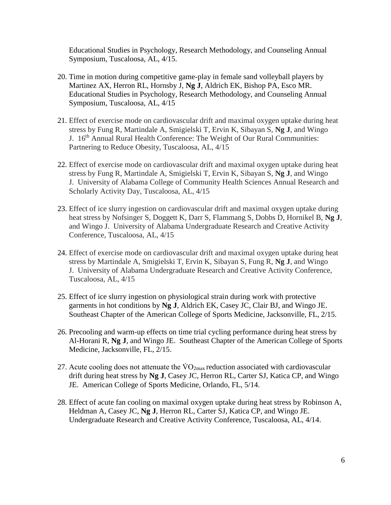Educational Studies in Psychology, Research Methodology, and Counseling Annual Symposium, Tuscaloosa, AL, 4/15.

- 20. Time in motion during competitive game-play in female sand volleyball players by Martinez AX, Herron RL, Hornsby J, **Ng J**, Aldrich EK, Bishop PA, Esco MR. Educational Studies in Psychology, Research Methodology, and Counseling Annual Symposium, Tuscaloosa, AL, 4/15
- 21. Effect of exercise mode on cardiovascular drift and maximal oxygen uptake during heat stress by Fung R, Martindale A, Smigielski T, Ervin K, Sibayan S, **Ng J**, and Wingo J. 16<sup>th</sup> Annual Rural Health Conference: The Weight of Our Rural Communities: Partnering to Reduce Obesity, Tuscaloosa, AL, 4/15
- 22. Effect of exercise mode on cardiovascular drift and maximal oxygen uptake during heat stress by Fung R, Martindale A, Smigielski T, Ervin K, Sibayan S, **Ng J**, and Wingo J. University of Alabama College of Community Health Sciences Annual Research and Scholarly Activity Day, Tuscaloosa, AL, 4/15
- 23. Effect of ice slurry ingestion on cardiovascular drift and maximal oxygen uptake during heat stress by Nofsinger S, Doggett K, Darr S, Flammang S, Dobbs D, Hornikel B, **Ng J**, and Wingo J. University of Alabama Undergraduate Research and Creative Activity Conference, Tuscaloosa, AL, 4/15
- 24. Effect of exercise mode on cardiovascular drift and maximal oxygen uptake during heat stress by Martindale A, Smigielski T, Ervin K, Sibayan S, Fung R, **Ng J**, and Wingo J. University of Alabama Undergraduate Research and Creative Activity Conference, Tuscaloosa, AL, 4/15
- 25. Effect of ice slurry ingestion on physiological strain during work with protective garments in hot conditions by **Ng J**, Aldrich EK, Casey JC, Clair BJ, and Wingo JE. Southeast Chapter of the American College of Sports Medicine, Jacksonville, FL, 2/15.
- 26. Precooling and warm-up effects on time trial cycling performance during heat stress by Al-Horani R, **Ng J**, and Wingo JE. Southeast Chapter of the American College of Sports Medicine, Jacksonville, FL, 2/15.
- 27. Acute cooling does not attenuate the  $\rm \dot{V}O_{2max}$  reduction associated with cardiovascular drift during heat stress by **Ng J**, Casey JC, Herron RL, Carter SJ, Katica CP, and Wingo JE. American College of Sports Medicine, Orlando, FL, 5/14.
- 28. Effect of acute fan cooling on maximal oxygen uptake during heat stress by Robinson A, Heldman A, Casey JC, **Ng J**, Herron RL, Carter SJ, Katica CP, and Wingo JE. Undergraduate Research and Creative Activity Conference, Tuscaloosa, AL, 4/14.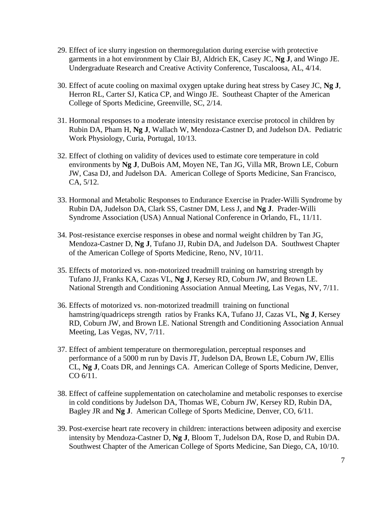- 29. Effect of ice slurry ingestion on thermoregulation during exercise with protective garments in a hot environment by Clair BJ, Aldrich EK, Casey JC, **Ng J**, and Wingo JE. Undergraduate Research and Creative Activity Conference, Tuscaloosa, AL, 4/14.
- 30. Effect of acute cooling on maximal oxygen uptake during heat stress by Casey JC, **Ng J**, Herron RL, Carter SJ, Katica CP, and Wingo JE. Southeast Chapter of the American College of Sports Medicine, Greenville, SC, 2/14.
- 31. Hormonal responses to a moderate intensity resistance exercise protocol in children by Rubin DA, Pham H, **Ng J**, Wallach W, Mendoza-Castner D, and Judelson DA. Pediatric Work Physiology, Curia, Portugal, 10/13.
- 32. Effect of clothing on validity of devices used to estimate core temperature in cold environments by **Ng J**, DuBois AM, Moyen NE, Tan JG, Villa MR, Brown LE, Coburn JW, Casa DJ, and Judelson DA. American College of Sports Medicine, San Francisco, CA, 5/12.
- 33. Hormonal and Metabolic Responses to Endurance Exercise in Prader-Willi Syndrome by Rubin DA, Judelson DA, Clark SS, Castner DM, Less J, and **Ng J**. Prader-Willi Syndrome Association (USA) Annual National Conference in Orlando, FL, 11/11.
- 34. Post-resistance exercise responses in obese and normal weight children by Tan JG, Mendoza-Castner D, **Ng J**, Tufano JJ, Rubin DA, and Judelson DA. Southwest Chapter of the American College of Sports Medicine, Reno, NV, 10/11.
- 35. Effects of motorized vs. non-motorized treadmill training on hamstring strength by Tufano JJ, Franks KA, Cazas VL, **Ng J**, Kersey RD, Coburn JW, and Brown LE. National Strength and Conditioning Association Annual Meeting, Las Vegas, NV, 7/11.
- 36. Effects of motorized vs. non-motorized treadmill training on functional hamstring/quadriceps strength ratios by Franks KA, Tufano JJ, Cazas VL, **Ng J**, Kersey RD, Coburn JW, and Brown LE. National Strength and Conditioning Association Annual Meeting, Las Vegas, NV, 7/11.
- 37. Effect of ambient temperature on thermoregulation, perceptual responses and performance of a 5000 m run by Davis JT, Judelson DA, Brown LE, Coburn JW, Ellis CL, **Ng J**, Coats DR, and Jennings CA. American College of Sports Medicine, Denver, CO 6/11.
- 38. Effect of caffeine supplementation on catecholamine and metabolic responses to exercise in cold conditions by Judelson DA, Thomas WE, Coburn JW, Kersey RD, Rubin DA, Bagley JR and **Ng J**. American College of Sports Medicine, Denver, CO, 6/11.
- 39. Post-exercise heart rate recovery in children: interactions between adiposity and exercise intensity by Mendoza-Castner D, **Ng J**, Bloom T, Judelson DA, Rose D, and Rubin DA. Southwest Chapter of the American College of Sports Medicine, San Diego, CA, 10/10.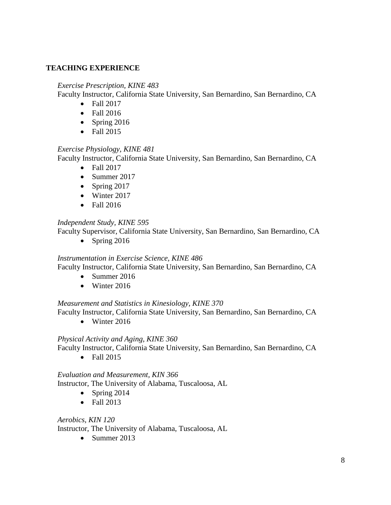### **TEACHING EXPERIENCE**

### *Exercise Prescription, KINE 483*

Faculty Instructor, California State University, San Bernardino, San Bernardino, CA

- Fall 2017
- Fall 2016
- Spring  $2016$
- Fall 2015

# *Exercise Physiology, KINE 481*

Faculty Instructor, California State University, San Bernardino, San Bernardino, CA

- Fall 2017
- Summer 2017
- Spring  $2017$
- Winter 2017
- Fall 2016

# *Independent Study, KINE 595*

Faculty Supervisor, California State University, San Bernardino, San Bernardino, CA

 $\bullet$  Spring 2016

### *Instrumentation in Exercise Science, KINE 486*

Faculty Instructor, California State University, San Bernardino, San Bernardino, CA

- $\bullet$  Summer 2016
- Winter 2016

### *Measurement and Statistics in Kinesiology, KINE 370*

Faculty Instructor, California State University, San Bernardino, San Bernardino, CA

 $\bullet$  Winter 2016

### *Physical Activity and Aging, KINE 360*

Faculty Instructor, California State University, San Bernardino, San Bernardino, CA

• Fall 2015

*Evaluation and Measurement, KIN 366* Instructor, The University of Alabama, Tuscaloosa, AL

- Spring  $2014$
- Fall 2013

### *Aerobics, KIN 120*

Instructor, The University of Alabama, Tuscaloosa, AL

 $\bullet$  Summer 2013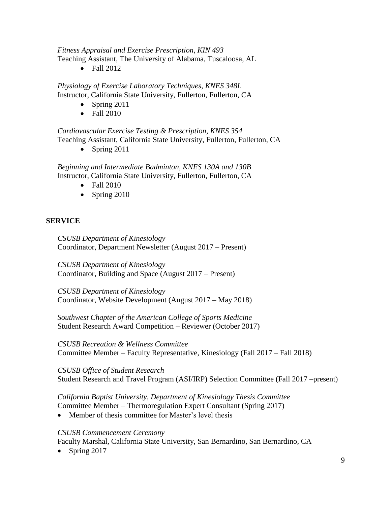*Fitness Appraisal and Exercise Prescription, KIN 493* Teaching Assistant, The University of Alabama, Tuscaloosa, AL

• Fall 2012

*Physiology of Exercise Laboratory Techniques, KNES 348L* Instructor, California State University, Fullerton, Fullerton, CA

- Spring 2011
- Fall 2010

*Cardiovascular Exercise Testing & Prescription, KNES 354* Teaching Assistant, California State University, Fullerton, Fullerton, CA

• Spring 2011

*Beginning and Intermediate Badminton, KNES 130A and 130B* Instructor, California State University, Fullerton, Fullerton, CA

- $\bullet$  Fall 2010
- Spring  $2010$

# **SERVICE**

*CSUSB Department of Kinesiology* Coordinator, Department Newsletter (August 2017 – Present)

*CSUSB Department of Kinesiology* Coordinator, Building and Space (August 2017 – Present)

*CSUSB Department of Kinesiology* Coordinator, Website Development (August 2017 – May 2018)

*Southwest Chapter of the American College of Sports Medicine* Student Research Award Competition – Reviewer (October 2017)

*CSUSB Recreation & Wellness Committee* Committee Member – Faculty Representative, Kinesiology (Fall 2017 – Fall 2018)

*CSUSB Office of Student Research* Student Research and Travel Program (ASI/IRP) Selection Committee (Fall 2017 –present)

*California Baptist University, Department of Kinesiology Thesis Committee* Committee Member – Thermoregulation Expert Consultant (Spring 2017)

• Member of thesis committee for Master's level thesis

### *CSUSB Commencement Ceremony*

Faculty Marshal, California State University, San Bernardino, San Bernardino, CA

• Spring  $2017$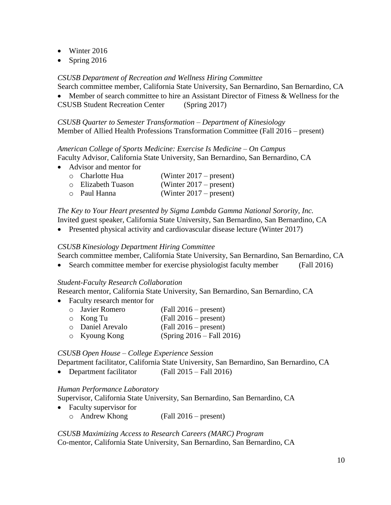- Winter 2016
- Spring  $2016$

### *CSUSB Department of Recreation and Wellness Hiring Committee*

Search committee member, California State University, San Bernardino, San Bernardino, CA

 Member of search committee to hire an Assistant Director of Fitness & Wellness for the CSUSB Student Recreation Center (Spring 2017)

*CSUSB Quarter to Semester Transformation – Department of Kinesiology* Member of Allied Health Professions Transformation Committee (Fall 2016 – present)

*American College of Sports Medicine: Exercise Is Medicine – On Campus* Faculty Advisor, California State University, San Bernardino, San Bernardino, CA

• Advisor and mentor for

| <b>O</b> Charlotte Hua    | (Winter $2017$ – present) |
|---------------------------|---------------------------|
| <b>O</b> Elizabeth Tuason | (Winter $2017$ – present) |
| ○ Paul Hanna              | (Winter $2017$ – present) |

*The Key to Your Heart presented by Sigma Lambda Gamma National Sorority, Inc.*

Invited guest speaker, California State University, San Bernardino, San Bernardino, CA

• Presented physical activity and cardiovascular disease lecture (Winter 2017)

### *CSUSB Kinesiology Department Hiring Committee*

Search committee member, California State University, San Bernardino, San Bernardino, CA

• Search committee member for exercise physiologist faculty member (Fall 2016)

### *Student-Faculty Research Collaboration*

Research mentor, California State University, San Bernardino, San Bernardino, CA

- Faculty research mentor for
	- o Javier Romero (Fall 2016 present) o Kong Tu (Fall 2016 – present) o Daniel Arevalo (Fall 2016 – present) o Kyoung Kong (Spring 2016 – Fall 2016)

### *CSUSB Open House – College Experience Session*

Department facilitator, California State University, San Bernardino, San Bernardino, CA

• Department facilitator (Fall 2015 – Fall 2016)

### *Human Performance Laboratory*

Supervisor, California State University, San Bernardino, San Bernardino, CA

- Faculty supervisor for
	- o Andrew Khong (Fall 2016 present)

### *CSUSB Maximizing Access to Research Careers (MARC) Program* Co-mentor, California State University, San Bernardino, San Bernardino, CA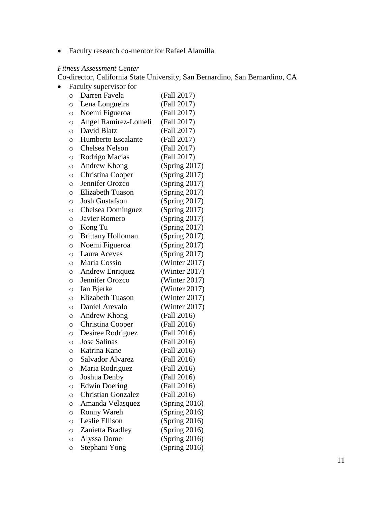Faculty research co-mentor for Rafael Alamilla

# *Fitness Assessment Center*

Co-director, California State University, San Bernardino, San Bernardino, CA

• Faculty supervisor for

| O       | Darren Favela             | (Fall 2017)      |
|---------|---------------------------|------------------|
| $\circ$ | Lena Longueira            | (Fall 2017)      |
| O       | Noemi Figueroa            | (Fall 2017)      |
| $\circ$ | Angel Ramirez-Lomeli      | (Fall 2017)      |
| $\circ$ | David Blatz               | (Fall 2017)      |
| O       | <b>Humberto Escalante</b> | (Fall 2017)      |
| O       | Chelsea Nelson            | (Fall 2017)      |
| O       | Rodrigo Macias            | (Fall 2017)      |
| $\circ$ | Andrew Khong              | (Spring 2017)    |
| O       | Christina Cooper          | (Spring 2017)    |
| $\circ$ | Jennifer Orozco           | (Spring 2017)    |
| $\circ$ | <b>Elizabeth Tuason</b>   | (Spring 2017)    |
| O       | <b>Josh Gustafson</b>     | (Spring 2017)    |
| O       | Chelsea Dominguez         | (Spring 2017)    |
| $\circ$ | Javier Romero             | (Spring 2017)    |
| $\circ$ | Kong Tu                   | (Spring 2017)    |
| $\circ$ | Brittany Holloman         | (Spring 2017)    |
| O       | Noemi Figueroa            | (Spring 2017)    |
| O       | <b>Laura Aceves</b>       | (Spring 2017)    |
| O       | Maria Cossio              | (Winter 2017)    |
| O       | <b>Andrew Enriquez</b>    | (Winter 2017)    |
| $\circ$ | Jennifer Orozco           | (Winter $2017$ ) |
| O       | Ian Bjerke                | (Winter 2017)    |
| $\circ$ | <b>Elizabeth Tuason</b>   | (Winter 2017)    |
| $\circ$ | Daniel Arevalo            | (Winter 2017)    |
| $\circ$ | Andrew Khong              | (Fall 2016)      |
| O       | Christina Cooper          | (Fall 2016)      |
| O       | Desiree Rodriguez         | (Fall 2016)      |
| $\circ$ | <b>Jose Salinas</b>       | (Fall 2016)      |
| $\circ$ | Katrina Kane              | (Fall 2016)      |
| $\circ$ | <b>Salvador Alvarez</b>   | (Fall 2016)      |
| $\circ$ | Maria Rodriguez           | (Fall 2016)      |
| O       | Joshua Denby              | (Fall 2016)      |
| O       | <b>Edwin Doering</b>      | (Fall 2016)      |
| $\circ$ | <b>Christian Gonzalez</b> | (Fall 2016)      |
| O       | Amanda Velasquez          | (Spring 2016)    |
| $\circ$ | Ronny Wareh               | (Spring 2016)    |
| O       | Leslie Ellison            | (Spring 2016)    |
| O       | Zanietta Bradley          | (Spring 2016)    |
| O       | Alyssa Dome               | (Spring 2016)    |
| O       | Stephani Yong             | (Spring 2016)    |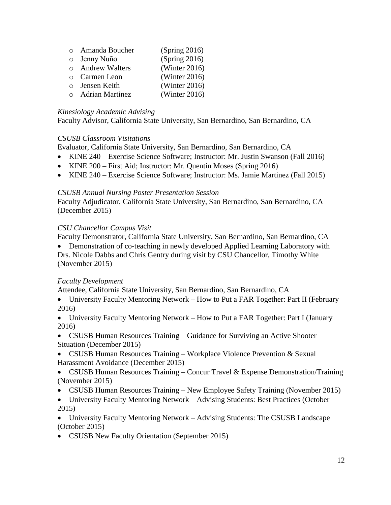| o Amanda Boucher   | (Spring 2016)    |
|--------------------|------------------|
| o Jenny Nuño       | (Spring 2016)    |
| o Andrew Walters   | (Winter 2016)    |
| <b>Carmen Leon</b> | (Winter $2016$ ) |
| o Jensen Keith     | (Winter 2016)    |
| o Adrian Martinez  | (Winter 2016)    |

### *Kinesiology Academic Advising*

Faculty Advisor, California State University, San Bernardino, San Bernardino, CA

# *CSUSB Classroom Visitations*

Evaluator, California State University, San Bernardino, San Bernardino, CA

- KINE 240 Exercise Science Software; Instructor: Mr. Justin Swanson (Fall 2016)
- KINE 200 First Aid; Instructor: Mr. Quentin Moses (Spring 2016)
- KINE 240 Exercise Science Software; Instructor: Ms. Jamie Martinez (Fall 2015)

# *CSUSB Annual Nursing Poster Presentation Session*

Faculty Adjudicator, California State University, San Bernardino, San Bernardino, CA (December 2015)

# *CSU Chancellor Campus Visit*

Faculty Demonstrator, California State University, San Bernardino, San Bernardino, CA

• Demonstration of co-teaching in newly developed Applied Learning Laboratory with Drs. Nicole Dabbs and Chris Gentry during visit by CSU Chancellor, Timothy White (November 2015)

# *Faculty Development*

Attendee, California State University, San Bernardino, San Bernardino, CA

• University Faculty Mentoring Network – How to Put a FAR Together: Part II (February 2016)

 University Faculty Mentoring Network – How to Put a FAR Together: Part I (January 2016)

• CSUSB Human Resources Training – Guidance for Surviving an Active Shooter Situation (December 2015)

 CSUSB Human Resources Training – Workplace Violence Prevention & Sexual Harassment Avoidance (December 2015)

• CSUSB Human Resources Training – Concur Travel & Expense Demonstration/Training (November 2015)

- CSUSB Human Resources Training New Employee Safety Training (November 2015)
- University Faculty Mentoring Network Advising Students: Best Practices (October 2015)

 University Faculty Mentoring Network – Advising Students: The CSUSB Landscape (October 2015)

• CSUSB New Faculty Orientation (September 2015)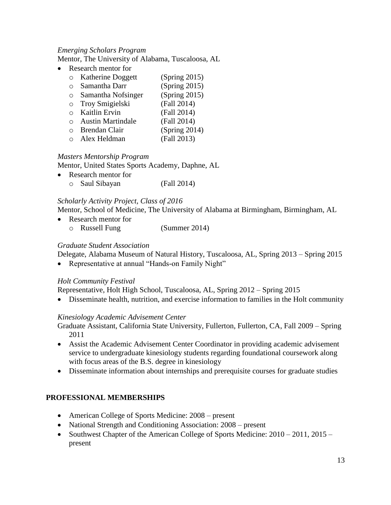### *Emerging Scholars Program*

Mentor, The University of Alabama, Tuscaloosa, AL

• Research mentor for

|          | o Katherine Doggett                                              | (Spring 2015) |
|----------|------------------------------------------------------------------|---------------|
| $\Omega$ | Samantha Darr                                                    | (Spring 2015) |
| $\circ$  | Samantha Nofsinger                                               | (Spring 2015) |
|          | o Troy Smigielski                                                | (Fall 2014)   |
|          | o Kaitlin Ervin                                                  | (Fall 2014)   |
|          | o Austin Martindale                                              | (Fall 2014)   |
|          | o Brendan Clair                                                  | (Spring 2014) |
|          | $\mathbf{1}$ $\mathbf{1}$ $\mathbf{1}$ $\mathbf{1}$ $\mathbf{1}$ | (11.0010)     |

o Alex Heldman (Fall 2013)

### *Masters Mentorship Program*

Mentor, United States Sports Academy, Daphne, AL

• Research mentor for o Saul Sibayan (Fall 2014)

### *Scholarly Activity Project, Class of 2016*

Mentor, School of Medicine, The University of Alabama at Birmingham, Birmingham, AL

• Research mentor for o Russell Fung (Summer 2014)

### *Graduate Student Association*

Delegate, Alabama Museum of Natural History, Tuscaloosa, AL, Spring 2013 – Spring 2015

• Representative at annual "Hands-on Family Night"

### *Holt Community Festival*

Representative, Holt High School, Tuscaloosa, AL, Spring 2012 – Spring 2015

Disseminate health, nutrition, and exercise information to families in the Holt community

### *Kinesiology Academic Advisement Center*

Graduate Assistant, California State University, Fullerton, Fullerton, CA, Fall 2009 – Spring 2011

- Assist the Academic Advisement Center Coordinator in providing academic advisement service to undergraduate kinesiology students regarding foundational coursework along with focus areas of the B.S. degree in kinesiology
- Disseminate information about internships and prerequisite courses for graduate studies

### **PROFESSIONAL MEMBERSHIPS**

- American College of Sports Medicine: 2008 present
- National Strength and Conditioning Association: 2008 present
- Southwest Chapter of the American College of Sports Medicine:  $2010 2011$ ,  $2015$ present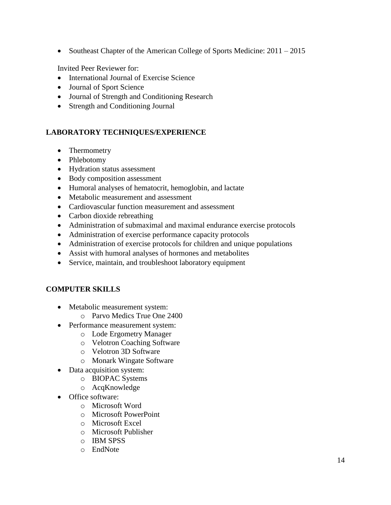• Southeast Chapter of the American College of Sports Medicine: 2011 – 2015

Invited Peer Reviewer for:

- International Journal of Exercise Science
- Journal of Sport Science
- Journal of Strength and Conditioning Research
- Strength and Conditioning Journal

# **LABORATORY TECHNIQUES/EXPERIENCE**

- Thermometry
- Phlebotomy
- Hydration status assessment
- Body composition assessment
- Humoral analyses of hematocrit, hemoglobin, and lactate
- Metabolic measurement and assessment
- Cardiovascular function measurement and assessment
- Carbon dioxide rebreathing
- Administration of submaximal and maximal endurance exercise protocols
- Administration of exercise performance capacity protocols
- Administration of exercise protocols for children and unique populations
- Assist with humoral analyses of hormones and metabolites
- Service, maintain, and troubleshoot laboratory equipment

# **COMPUTER SKILLS**

- Metabolic measurement system:
	- o Parvo Medics True One 2400
- Performance measurement system:
	- o Lode Ergometry Manager
		- o Velotron Coaching Software
		- o Velotron 3D Software
		- o Monark Wingate Software
- Data acquisition system:
	- o BIOPAC Systems
	- o AcqKnowledge
- Office software:
	- o Microsoft Word
	- o Microsoft PowerPoint
	- o Microsoft Excel
	- o Microsoft Publisher
	- o IBM SPSS
	- o EndNote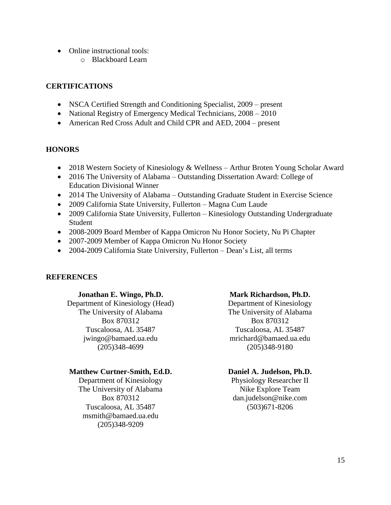- Online instructional tools:
	- o Blackboard Learn

### **CERTIFICATIONS**

- NSCA Certified Strength and Conditioning Specialist, 2009 present
- National Registry of Emergency Medical Technicians,  $2008 2010$
- American Red Cross Adult and Child CPR and AED, 2004 present

### **HONORS**

- 2018 Western Society of Kinesiology & Wellness Arthur Broten Young Scholar Award
- 2016 The University of Alabama Outstanding Dissertation Award: College of Education Divisional Winner
- 2014 The University of Alabama Outstanding Graduate Student in Exercise Science
- 2009 California State University, Fullerton Magna Cum Laude
- 2009 California State University, Fullerton Kinesiology Outstanding Undergraduate Student
- 2008-2009 Board Member of Kappa Omicron Nu Honor Society, Nu Pi Chapter
- 2007-2009 Member of Kappa Omicron Nu Honor Society
- 2004-2009 California State University, Fullerton Dean's List, all terms

### **REFERENCES**

### **Jonathan E. Wingo, Ph.D.**

Department of Kinesiology (Head) The University of Alabama Box 870312 Tuscaloosa, AL 35487 jwingo@bamaed.ua.edu (205)348-4699

### **Matthew Curtner-Smith, Ed.D.**

Department of Kinesiology The University of Alabama Box 870312 Tuscaloosa, AL 35487 msmith@bamaed.ua.edu (205)348-9209

### **Mark Richardson, Ph.D.**

Department of Kinesiology The University of Alabama Box 870312 Tuscaloosa, AL 35487 mrichard@bamaed.ua.edu (205)348-9180

### **Daniel A. Judelson, Ph.D.**

Physiology Researcher II Nike Explore Team dan.judelson@nike.com (503)671-8206